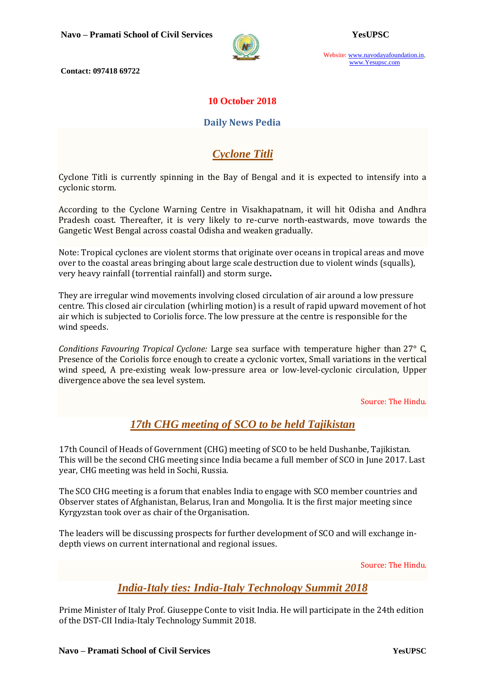

Website: www.navodayafoundation.in, www.Yesupsc.com

**Contact: 097418 69722**

## **10 October 2018**

### **Daily News Pedia**

# *Cyclone Titli*

Cyclone Titli is currently spinning in the Bay of Bengal and it is expected to intensify into a cyclonic storm.

According to the Cyclone Warning Centre in Visakhapatnam, it will hit Odisha and Andhra Pradesh coast. Thereafter, it is very likely to re-curve north-eastwards, move towards the Gangetic West Bengal across coastal Odisha and weaken gradually.

Note: Tropical cyclones are violent storms that originate over oceans in tropical areas and move over to the coastal areas bringing about large scale destruction due to violent winds (squalls), very heavy rainfall (torrential rainfall) and storm surge**.**

They are irregular wind movements involving closed circulation of air around a low pressure centre. This closed air circulation (whirling motion) is a result of rapid upward movement of hot air which is subjected to [Coriolis force.](https://www.pmfias.com/wind-movement-factors-affecting-winds-coriolis-force/) The low pressure at the centre is responsible for the wind speeds.

*Conditions Favouring Tropical Cyclone:* Large sea surface with temperature higher than 27° C, Presence of the Coriolis force enough to create a cyclonic vortex, Small variations in the vertical wind speed, A pre-existing weak low-pressure area or low-level-cyclonic circulation, Upper divergence above the sea level system.

#### Source: The Hindu.

# *17th CHG meeting of SCO to be held Tajikistan*

17th Council of Heads of Government (CHG) meeting of SCO to be held Dushanbe, Tajikistan. This will be the second CHG meeting since India became a full member of SCO in June 2017. Last year, CHG meeting was held in Sochi, Russia.

The SCO CHG meeting is a forum that enables India to engage with SCO member countries and Observer states of Afghanistan, Belarus, Iran and Mongolia. It is the first major meeting since Kyrgyzstan took over as chair of the Organisation.

The leaders will be discussing prospects for further development of SCO and will exchange indepth views on current international and regional issues.

Source: The Hindu.

# *India-Italy ties: India-Italy Technology Summit 2018*

Prime Minister of Italy Prof. Giuseppe Conte to visit India. He will participate in the 24th edition of the DST-CII India-Italy Technology Summit 2018.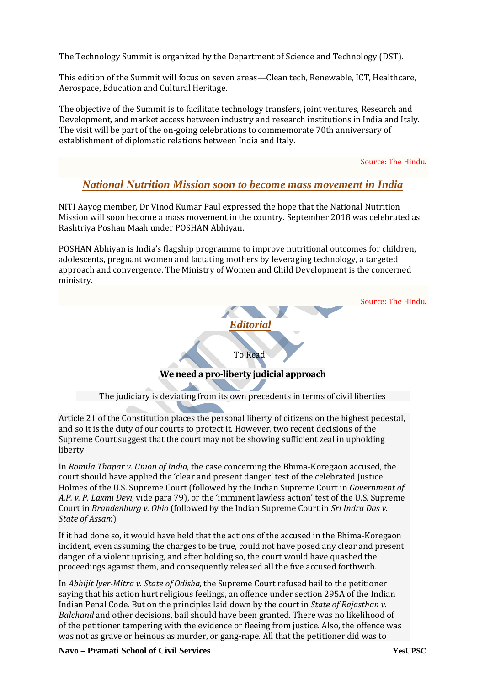The Technology Summit is organized by the Department of Science and Technology (DST).

This edition of the Summit will focus on seven areas—Clean tech, Renewable, ICT, Healthcare, Aerospace, Education and Cultural Heritage.

The objective of the Summit is to facilitate technology transfers, joint ventures, Research and Development, and market access between industry and research institutions in India and Italy. The visit will be part of the on-going celebrations to commemorate 70th anniversary of establishment of diplomatic relations between India and Italy.

Source: The Hindu.

## *National Nutrition Mission soon to become mass movement in India*

NITI Aayog member, Dr Vinod Kumar Paul expressed the hope that the National Nutrition Mission will soon become a mass movement in the country. September 2018 was celebrated as Rashtriya Poshan Maah under POSHAN Abhiyan.

POSHAN Abhiyan is India's flagship programme to improve nutritional outcomes for children, adolescents, pregnant women and lactating mothers by leveraging technology, a targeted approach and convergence. The Ministry of Women and Child Development is the concerned ministry.



Article 21 of the Constitution places the personal liberty of citizens on the highest pedestal, and so it is the duty of our courts to protect it. However, two recent decisions of the Supreme Court suggest that the court may not be showing sufficient zeal in upholding liberty.

In *Romila Thapar v. Union of India*, the case concerning the Bhima-Koregaon accused, the court should have applied the 'clear and present danger' test of the celebrated Justice Holmes of the U.S. Supreme Court (followed by the Indian Supreme Court in *Government of A.P. v. P. Laxmi Devi*, vide para 79), or the 'imminent lawless action' test of the U.S. Supreme Court in *Brandenburg v. Ohio* (followed by the Indian Supreme Court in *Sri Indra Das v. State of Assam*).

If it had done so, it would have held that the actions of the accused in the Bhima-Koregaon incident, even assuming the charges to be true, could not have posed any clear and present danger of a violent uprising, and after holding so, the court would have quashed the proceedings against them, and consequently released all the five accused forthwith.

In *Abhijit Iyer-Mitra v. State of Odisha,* the Supreme Court refused bail to the petitioner saying that his action hurt religious feelings, an offence under section 295A of the Indian Indian Penal Code. But on the principles laid down by the court in *State of Rajasthan v. Balchand* and other decisions, bail should have been granted. There was no likelihood of of the petitioner tampering with the evidence or fleeing from justice. Also, the offence was was not as grave or heinous as murder, or gang-rape. All that the petitioner did was to